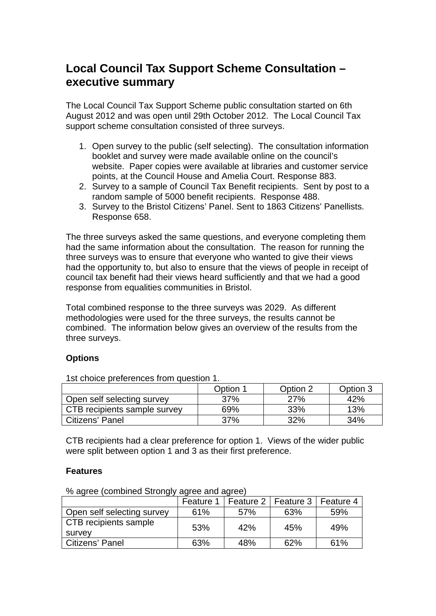# **Local Council Tax Support Scheme Consultation – executive summary**

The Local Council Tax Support Scheme public consultation started on 6th August 2012 and was open until 29th October 2012. The Local Council Tax support scheme consultation consisted of three surveys.

- 1. Open survey to the public (self selecting). The consultation information booklet and survey were made available online on the council's website. Paper copies were available at libraries and customer service points, at the Council House and Amelia Court. Response 883.
- 2. Survey to a sample of Council Tax Benefit recipients. Sent by post to a random sample of 5000 benefit recipients. Response 488.
- 3. Survey to the Bristol Citizens' Panel. Sent to 1863 Citizens' Panellists. Response 658.

The three surveys asked the same questions, and everyone completing them had the same information about the consultation. The reason for running the three surveys was to ensure that everyone who wanted to give their views had the opportunity to, but also to ensure that the views of people in receipt of council tax benefit had their views heard sufficiently and that we had a good response from equalities communities in Bristol.

Total combined response to the three surveys was 2029. As different methodologies were used for the three surveys, the results cannot be combined. The information below gives an overview of the results from the three surveys.

### **Options**

1st choice preferences from question 1.

|                              | Option 1 | Option 2 | Option 3 |
|------------------------------|----------|----------|----------|
| Open self selecting survey   | 37%      | 27%      | 42%      |
| CTB recipients sample survey | 69%      | 33%      | 13%      |
| l Citizens' Panel            | 37%      | 32%      | 34%      |

CTB recipients had a clear preference for option 1. Views of the wider public were split between option 1 and 3 as their first preference.

### **Features**

% agree (combined Strongly agree and agree)

|                                 | Feature 1 | Feature 2 | Feature 3 | Feature 4 |
|---------------------------------|-----------|-----------|-----------|-----------|
| Open self selecting survey      | 61%       | 57%       | 63%       | 59%       |
| CTB recipients sample<br>survey | 53%       | 42%       | 45%       | 49%       |
| Citizens' Panel                 | 63%       | 48%       | 62%       | 61%       |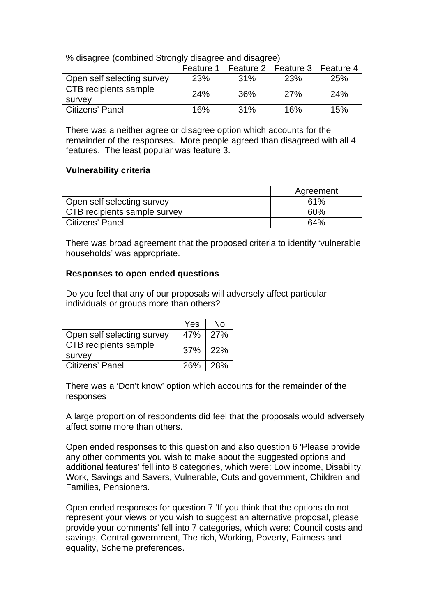| o dibagroo (borribirica Otrorigiy dibagroo dha dibagroo) |           |           |            |           |
|----------------------------------------------------------|-----------|-----------|------------|-----------|
|                                                          | Feature 1 | Feature 2 | Feature 3  | Feature 4 |
| Open self selecting survey                               | 23%       | 31%       | <b>23%</b> | 25%       |
| CTB recipients sample                                    | 24%       | 36%       | 27%        | 24%       |
| survey                                                   |           |           |            |           |
| Citizens' Panel                                          | 16%       | 31%       | 16%        | 15%       |

% disagree (combined Strongly disagree and disagree)

There was a neither agree or disagree option which accounts for the remainder of the responses. More people agreed than disagreed with all 4 features. The least popular was feature 3.

### **Vulnerability criteria**

|                              | Agreement |
|------------------------------|-----------|
| Open self selecting survey   | 61%       |
| CTB recipients sample survey | 60%       |
| Citizens' Panel              | 64%       |

There was broad agreement that the proposed criteria to identify 'vulnerable households' was appropriate.

#### **Responses to open ended questions**

Do you feel that any of our proposals will adversely affect particular individuals or groups more than others?

|                            | Yes          | No  |
|----------------------------|--------------|-----|
| Open self selecting survey | 47%          | 27% |
| CTB recipients sample      | $37\%$   22% |     |
| survey                     |              |     |
| <b>Citizens' Panel</b>     | $26\%$   28% |     |

There was a 'Don't know' option which accounts for the remainder of the responses

A large proportion of respondents did feel that the proposals would adversely affect some more than others.

Open ended responses to this question and also question 6 'Please provide any other comments you wish to make about the suggested options and additional features' fell into 8 categories, which were: Low income, Disability, Work, Savings and Savers, Vulnerable, Cuts and government, Children and Families, Pensioners.

Open ended responses for question 7 'If you think that the options do not represent your views or you wish to suggest an alternative proposal, please provide your comments' fell into 7 categories, which were: Council costs and savings, Central government, The rich, Working, Poverty, Fairness and equality, Scheme preferences.